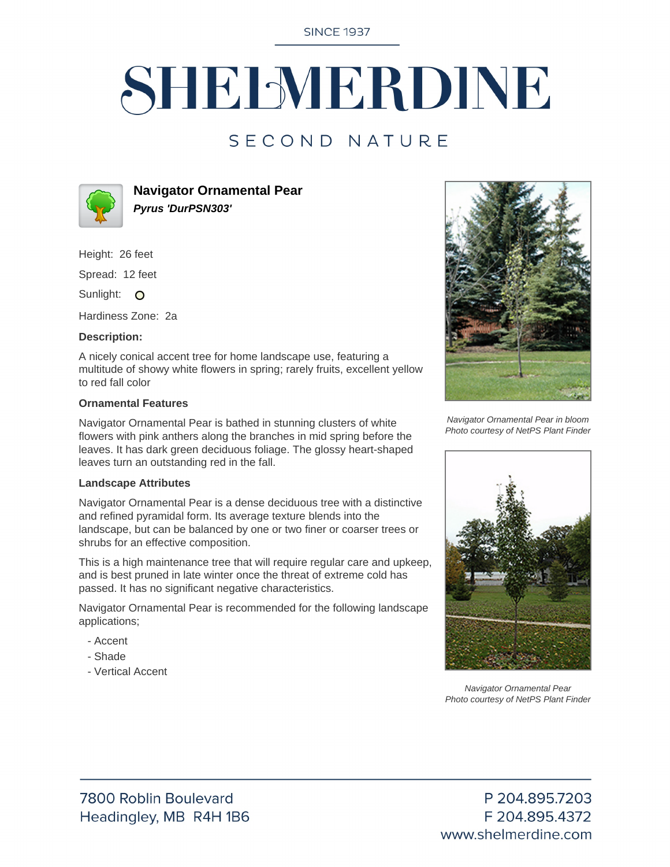**SINCE 1937** 

# SHELMERDINE

### SECOND NATURE



**Navigator Ornamental Pear Pyrus 'DurPSN303'**

Height: 26 feet

Spread: 12 feet

Sunlight: O

Hardiness Zone: 2a

#### **Description:**

A nicely conical accent tree for home landscape use, featuring a multitude of showy white flowers in spring; rarely fruits, excellent yellow to red fall color

#### **Ornamental Features**

Navigator Ornamental Pear is bathed in stunning clusters of white flowers with pink anthers along the branches in mid spring before the leaves. It has dark green deciduous foliage. The glossy heart-shaped leaves turn an outstanding red in the fall.

#### **Landscape Attributes**

Navigator Ornamental Pear is a dense deciduous tree with a distinctive and refined pyramidal form. Its average texture blends into the landscape, but can be balanced by one or two finer or coarser trees or shrubs for an effective composition.

This is a high maintenance tree that will require regular care and upkeep, and is best pruned in late winter once the threat of extreme cold has passed. It has no significant negative characteristics.

Navigator Ornamental Pear is recommended for the following landscape applications;

- Accent
- Shade
- Vertical Accent



Navigator Ornamental Pear in bloom Photo courtesy of NetPS Plant Finder



Navigator Ornamental Pear Photo courtesy of NetPS Plant Finder

P 204.895.7203 F 204.895.4372 www.shelmerdine.com